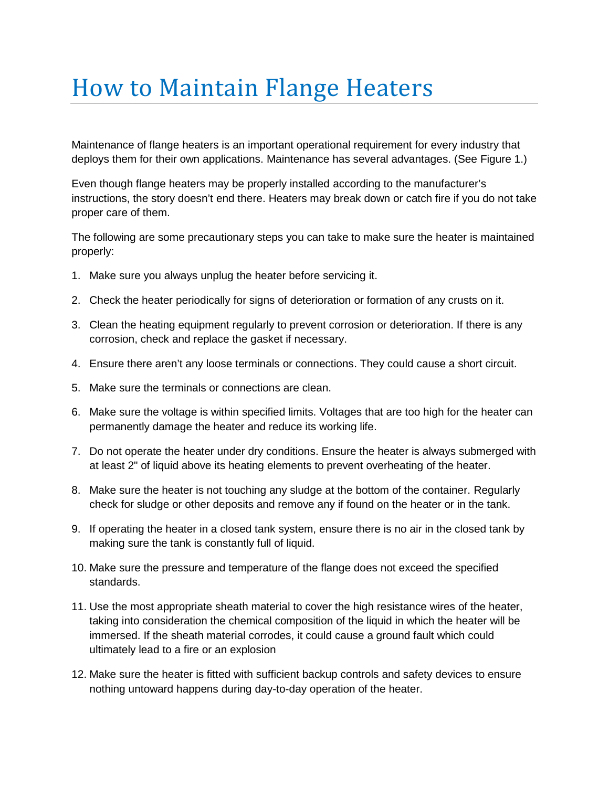## How to Maintain Flange Heaters

Maintenance of flange heaters is an important operational requirement for every industry that deploys them for their own applications. Maintenance has several advantages. (See Figure 1.)

Even though flange heaters may be properly installed according to the manufacturer's instructions, the story doesn't end there. Heaters may break down or catch fire if you do not take proper care of them.

The following are some precautionary steps you can take to make sure the heater is maintained properly:

- 1. Make sure you always unplug the heater before servicing it.
- 2. Check the heater periodically for signs of deterioration or formation of any crusts on it.
- 3. Clean the heating equipment regularly to prevent corrosion or deterioration. If there is any corrosion, check and replace the gasket if necessary.
- 4. Ensure there aren't any loose terminals or connections. They could cause a short circuit.
- 5. Make sure the terminals or connections are clean.
- 6. Make sure the voltage is within specified limits. Voltages that are too high for the heater can permanently damage the heater and reduce its working life.
- 7. Do not operate the heater under dry conditions. Ensure the heater is always submerged with at least 2" of liquid above its heating elements to prevent overheating of the heater.
- 8. Make sure the heater is not touching any sludge at the bottom of the container. Regularly check for sludge or other deposits and remove any if found on the heater or in the tank.
- 9. If operating the heater in a closed tank system, ensure there is no air in the closed tank by making sure the tank is constantly full of liquid.
- 10. Make sure the pressure and temperature of the flange does not exceed the specified standards.
- 11. Use the most appropriate sheath material to cover the high resistance wires of the heater, taking into consideration the chemical composition of the liquid in which the heater will be immersed. If the sheath material corrodes, it could cause a ground fault which could ultimately lead to a fire or an explosion
- 12. Make sure the heater is fitted with sufficient backup controls and safety devices to ensure nothing untoward happens during day-to-day operation of the heater.